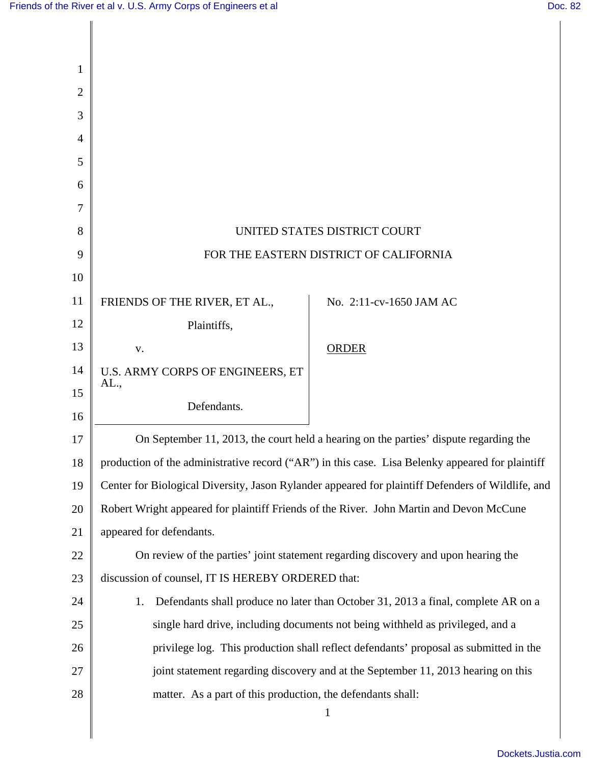| 1              |                                                                                                   |                         |
|----------------|---------------------------------------------------------------------------------------------------|-------------------------|
| $\overline{2}$ |                                                                                                   |                         |
| 3              |                                                                                                   |                         |
| 4              |                                                                                                   |                         |
| 5              |                                                                                                   |                         |
| 6              |                                                                                                   |                         |
| 7              |                                                                                                   |                         |
| 8              | UNITED STATES DISTRICT COURT                                                                      |                         |
| 9              | FOR THE EASTERN DISTRICT OF CALIFORNIA                                                            |                         |
| 10             |                                                                                                   |                         |
| 11             | FRIENDS OF THE RIVER, ET AL.,                                                                     | No. 2:11-cv-1650 JAM AC |
| 12             | Plaintiffs,                                                                                       |                         |
| 13             | V.                                                                                                | <b>ORDER</b>            |
| 14             | U.S. ARMY CORPS OF ENGINEERS, ET                                                                  |                         |
| 15             | AL.,                                                                                              |                         |
| 16             | Defendants.                                                                                       |                         |
| 17             | On September 11, 2013, the court held a hearing on the parties' dispute regarding the             |                         |
| 18             | production of the administrative record ("AR") in this case. Lisa Belenky appeared for plaintiff  |                         |
| 19             | Center for Biological Diversity, Jason Rylander appeared for plaintiff Defenders of Wildlife, and |                         |
| 20             | Robert Wright appeared for plaintiff Friends of the River. John Martin and Devon McCune           |                         |
| 21             | appeared for defendants.                                                                          |                         |
| 22             | On review of the parties' joint statement regarding discovery and upon hearing the                |                         |
| 23             | discussion of counsel, IT IS HEREBY ORDERED that:                                                 |                         |
| 24             | Defendants shall produce no later than October 31, 2013 a final, complete AR on a<br>1.           |                         |
| 25             | single hard drive, including documents not being withheld as privileged, and a                    |                         |
| 26             | privilege log. This production shall reflect defendants' proposal as submitted in the             |                         |
| 27             | joint statement regarding discovery and at the September 11, 2013 hearing on this                 |                         |
| 28             | matter. As a part of this production, the defendants shall:                                       |                         |
|                |                                                                                                   | $\mathbf{1}$            |